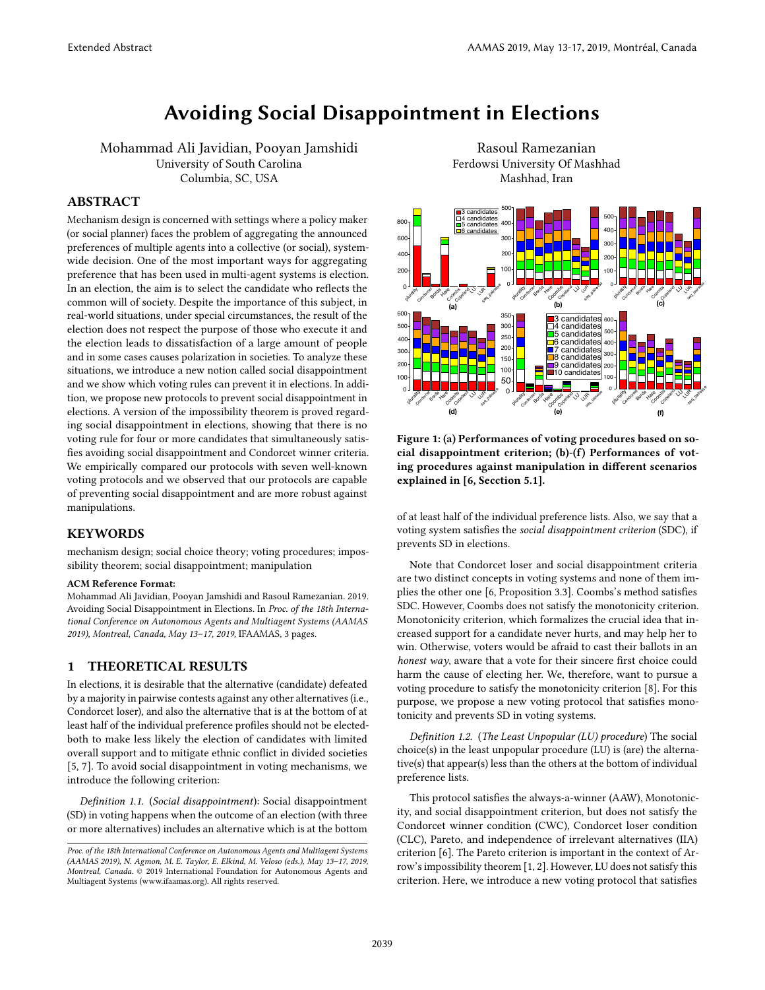# Avoiding Social Disappointment in Elections

Mohammad Ali Javidian, Pooyan Jamshidi University of South Carolina Columbia, SC, USA

## ABSTRACT

Mechanism design is concerned with settings where a policy maker (or social planner) faces the problem of aggregating the announced preferences of multiple agents into a collective (or social), systemwide decision. One of the most important ways for aggregating preference that has been used in multi-agent systems is election. In an election, the aim is to select the candidate who reflects the common will of society. Despite the importance of this subject, in real-world situations, under special circumstances, the result of the election does not respect the purpose of those who execute it and the election leads to dissatisfaction of a large amount of people and in some cases causes polarization in societies. To analyze these situations, we introduce a new notion called social disappointment and we show which voting rules can prevent it in elections. In addition, we propose new protocols to prevent social disappointment in elections. A version of the impossibility theorem is proved regarding social disappointment in elections, showing that there is no voting rule for four or more candidates that simultaneously satisfies avoiding social disappointment and Condorcet winner criteria. We empirically compared our protocols with seven well-known voting protocols and we observed that our protocols are capable of preventing social disappointment and are more robust against manipulations.

#### **KEYWORDS**

mechanism design; social choice theory; voting procedures; impossibility theorem; social disappointment; manipulation

#### ACM Reference Format:

Mohammad Ali Javidian, Pooyan Jamshidi and Rasoul Ramezanian. 2019. Avoiding Social Disappointment in Elections. In Proc. of the 18th International Conference on Autonomous Agents and Multiagent Systems (AAMAS 2019), Montreal, Canada, May 13–17, 2019, IFAAMAS, [3](#page-2-0) pages.

# 1 THEORETICAL RESULTS

In elections, it is desirable that the alternative (candidate) defeated by a majority in pairwise contests against any other alternatives (i.e., Condorcet loser), and also the alternative that is at the bottom of at least half of the individual preference profiles should not be electedboth to make less likely the election of candidates with limited overall support and to mitigate ethnic conflict in divided societies [\[5,](#page-2-1) [7\]](#page-2-2). To avoid social disappointment in voting mechanisms, we introduce the following criterion:

Definition 1.1. (Social disappointment): Social disappointment (SD) in voting happens when the outcome of an election (with three or more alternatives) includes an alternative which is at the bottom

Rasoul Ramezanian Ferdowsi University Of Mashhad Mashhad, Iran

<span id="page-0-0"></span>

Figure 1: (a) Performances of voting procedures based on social disappointment criterion; (b)-(f) Performances of voting procedures against manipulation in different scenarios explained in [\[6,](#page-2-3) Secction 5.1].

of at least half of the individual preference lists. Also, we say that a voting system satisfies the social disappointment criterion (SDC), if prevents SD in elections.

Note that Condorcet loser and social disappointment criteria are two distinct concepts in voting systems and none of them implies the other one [\[6,](#page-2-3) Proposition 3.3]. Coombs's method satisfies SDC. However, Coombs does not satisfy the monotonicity criterion. Monotonicity criterion, which formalizes the crucial idea that increased support for a candidate never hurts, and may help her to win. Otherwise, voters would be afraid to cast their ballots in an honest way, aware that a vote for their sincere first choice could harm the cause of electing her. We, therefore, want to pursue a voting procedure to satisfy the monotonicity criterion [\[8\]](#page-2-4). For this purpose, we propose a new voting protocol that satisfies monotonicity and prevents SD in voting systems.

Definition 1.2. (The Least Unpopular (LU) procedure) The social choice(s) in the least unpopular procedure (LU) is (are) the alternative(s) that appear(s) less than the others at the bottom of individual preference lists.

This protocol satisfies the always-a-winner (AAW), Monotonicity, and social disappointment criterion, but does not satisfy the Condorcet winner condition (CWC), Condorcet loser condition (CLC), Pareto, and independence of irrelevant alternatives (IIA) criterion [\[6\]](#page-2-3). The Pareto criterion is important in the context of Arrow's impossibility theorem [\[1,](#page-2-5) [2\]](#page-2-6). However, LU does not satisfy this criterion. Here, we introduce a new voting protocol that satisfies

Proc. of the 18th International Conference on Autonomous Agents and Multiagent Systems (AAMAS 2019), N. Agmon, M. E. Taylor, E. Elkind, M. Veloso (eds.), May 13–17, 2019, Montreal, Canada. © 2019 International Foundation for Autonomous Agents and Multiagent Systems (www.ifaamas.org). All rights reserved.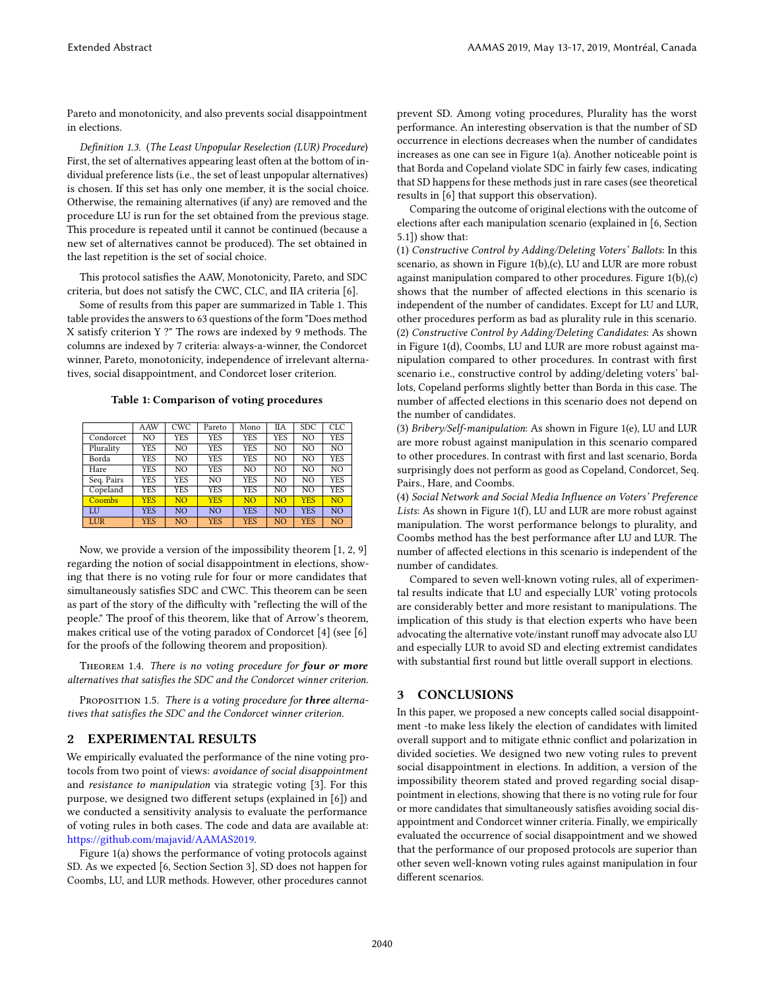Pareto and monotonicity, and also prevents social disappointment in elections.

Definition 1.3. (The Least Unpopular Reselection (LUR) Procedure) First, the set of alternatives appearing least often at the bottom of individual preference lists (i.e., the set of least unpopular alternatives) is chosen. If this set has only one member, it is the social choice. Otherwise, the remaining alternatives (if any) are removed and the procedure LU is run for the set obtained from the previous stage. This procedure is repeated until it cannot be continued (because a new set of alternatives cannot be produced). The set obtained in the last repetition is the set of social choice.

This protocol satisfies the AAW, Monotonicity, Pareto, and SDC criteria, but does not satisfy the CWC, CLC, and IIA criteria [\[6\]](#page-2-3).

Some of results from this paper are summarized in Table [1.](#page-1-0) This table provides the answers to 63 questions of the form "Does method X satisfy criterion Y ?" The rows are indexed by 9 methods. The columns are indexed by 7 criteria: always-a-winner, the Condorcet winner, Pareto, monotonicity, independence of irrelevant alternatives, social disappointment, and Condorcet loser criterion.

Table 1: Comparison of voting procedures

<span id="page-1-0"></span>

|               | AAW        | <b>CWC</b>     | Pareto         | Mono           | IIА            | <b>SDC</b> | CLC.           |
|---------------|------------|----------------|----------------|----------------|----------------|------------|----------------|
| Condorcet     | NO         | YES            | <b>YES</b>     | YES            | YES            | NO.        | <b>YES</b>     |
| Plurality     | <b>YES</b> | NO             | YES            | YES            | NO             | NO.        | NO.            |
| Borda         | <b>YES</b> | NO             | <b>YES</b>     | YES            | NO.            | NO.        | <b>YES</b>     |
| Hare          | <b>YES</b> | NO             | YES            | NO             | NO             | NO.        | NO             |
| Seq. Pairs    | <b>YES</b> | YES            | NO.            | YES            | NO             | NO.        | <b>YES</b>     |
| Copeland      | <b>YES</b> | YES            | <b>YES</b>     | YES            | NO             | NO.        | <b>YES</b>     |
| <b>Coombs</b> | <b>YES</b> | N <sub>O</sub> | <b>YES</b>     | N <sub>O</sub> | N <sub>O</sub> | <b>YES</b> | N <sub>O</sub> |
| IJ            | <b>YES</b> | N <sub>O</sub> | N <sub>O</sub> | <b>YES</b>     | N <sub>O</sub> | <b>YES</b> | N <sub>O</sub> |
| LUR           | <b>YES</b> | N <sub>O</sub> | <b>YES</b>     | <b>YES</b>     | N <sub>O</sub> | <b>YES</b> | N <sub>O</sub> |

Now, we provide a version of the impossibility theorem [\[1,](#page-2-5) [2,](#page-2-6) [9\]](#page-2-7) regarding the notion of social disappointment in elections, showing that there is no voting rule for four or more candidates that simultaneously satisfies SDC and CWC. This theorem can be seen as part of the story of the difficulty with "reflecting the will of the people." The proof of this theorem, like that of Arrow's theorem, makes critical use of the voting paradox of Condorcet [\[4\]](#page-2-8) (see [\[6\]](#page-2-3) for the proofs of the following theorem and proposition).

THEOREM 1.4. There is no voting procedure for four or more alternatives that satisfies the SDC and the Condorcet winner criterion.

PROPOSITION 1.5. There is a voting procedure for three alternatives that satisfies the SDC and the Condorcet winner criterion.

# EXPERIMENTAL RESULTS

We empirically evaluated the performance of the nine voting protocols from two point of views: avoidance of social disappointment and resistance to manipulation via strategic voting [\[3\]](#page-2-9). For this purpose, we designed two different setups (explained in [\[6\]](#page-2-3)) and we conducted a sensitivity analysis to evaluate the performance of voting rules in both cases. The code and data are available at: [https://github.com/majavid/AAMAS2019.](https://github.com/majavid/AAMAS2019)

Figure [1\(](#page-0-0)a) shows the performance of voting protocols against SD. As we expected [\[6,](#page-2-3) Section Section 3], SD does not happen for Coombs, LU, and LUR methods. However, other procedures cannot prevent SD. Among voting procedures, Plurality has the worst performance. An interesting observation is that the number of SD occurrence in elections decreases when the number of candidates increases as one can see in Figure [1\(](#page-0-0)a). Another noticeable point is that Borda and Copeland violate SDC in fairly few cases, indicating that SD happens for these methods just in rare cases (see theoretical results in [\[6\]](#page-2-3) that support this observation).

Comparing the outcome of original elections with the outcome of elections after each manipulation scenario (explained in [\[6,](#page-2-3) Section 5.1]) show that:

(1) Constructive Control by Adding/Deleting Voters' Ballots: In this scenario, as shown in Figure [1\(](#page-0-0)b),(c), LU and LUR are more robust against manipulation compared to other procedures. Figure [1\(](#page-0-0)b),(c) shows that the number of affected elections in this scenario is independent of the number of candidates. Except for LU and LUR, other procedures perform as bad as plurality rule in this scenario. (2) Constructive Control by Adding/Deleting Candidates: As shown in Figure [1\(](#page-0-0)d), Coombs, LU and LUR are more robust against manipulation compared to other procedures. In contrast with first scenario i.e., constructive control by adding/deleting voters' ballots, Copeland performs slightly better than Borda in this case. The number of affected elections in this scenario does not depend on the number of candidates.

(3) Bribery/Self-manipulation: As shown in Figure [1\(](#page-0-0)e), LU and LUR are more robust against manipulation in this scenario compared to other procedures. In contrast with first and last scenario, Borda surprisingly does not perform as good as Copeland, Condorcet, Seq. Pairs., Hare, and Coombs.

(4) Social Network and Social Media Influence on Voters' Preference Lists: As shown in Figure [1\(](#page-0-0)f), LU and LUR are more robust against manipulation. The worst performance belongs to plurality, and Coombs method has the best performance after LU and LUR. The number of affected elections in this scenario is independent of the number of candidates.

Compared to seven well-known voting rules, all of experimental results indicate that LU and especially LUR' voting protocols are considerably better and more resistant to manipulations. The implication of this study is that election experts who have been advocating the alternative vote/instant runoff may advocate also LU and especially LUR to avoid SD and electing extremist candidates with substantial first round but little overall support in elections.

#### 3 CONCLUSIONS

In this paper, we proposed a new concepts called social disappointment -to make less likely the election of candidates with limited overall support and to mitigate ethnic conflict and polarization in divided societies. We designed two new voting rules to prevent social disappointment in elections. In addition, a version of the impossibility theorem stated and proved regarding social disappointment in elections, showing that there is no voting rule for four or more candidates that simultaneously satisfies avoiding social disappointment and Condorcet winner criteria. Finally, we empirically evaluated the occurrence of social disappointment and we showed that the performance of our proposed protocols are superior than other seven well-known voting rules against manipulation in four different scenarios.